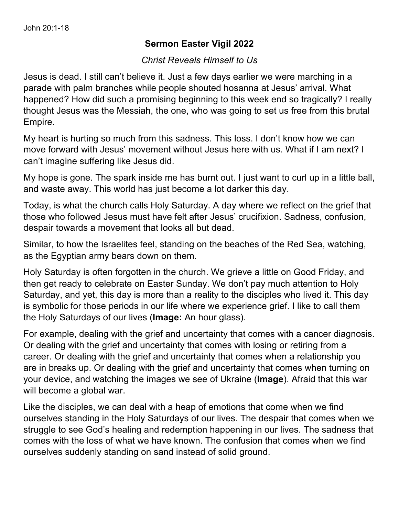## **Sermon Easter Vigil 2022**

## *Christ Reveals Himself to Us*

Jesus is dead. I still can't believe it. Just a few days earlier we were marching in a parade with palm branches while people shouted hosanna at Jesus' arrival. What happened? How did such a promising beginning to this week end so tragically? I really thought Jesus was the Messiah, the one, who was going to set us free from this brutal Empire.

My heart is hurting so much from this sadness. This loss. I don't know how we can move forward with Jesus' movement without Jesus here with us. What if I am next? I can't imagine suffering like Jesus did.

My hope is gone. The spark inside me has burnt out. I just want to curl up in a little ball, and waste away. This world has just become a lot darker this day.

Today, is what the church calls Holy Saturday. A day where we reflect on the grief that those who followed Jesus must have felt after Jesus' crucifixion. Sadness, confusion, despair towards a movement that looks all but dead.

Similar, to how the Israelites feel, standing on the beaches of the Red Sea, watching, as the Egyptian army bears down on them.

Holy Saturday is often forgotten in the church. We grieve a little on Good Friday, and then get ready to celebrate on Easter Sunday. We don't pay much attention to Holy Saturday, and yet, this day is more than a reality to the disciples who lived it. This day is symbolic for those periods in our life where we experience grief. I like to call them the Holy Saturdays of our lives (**Image:** An hour glass).

For example, dealing with the grief and uncertainty that comes with a cancer diagnosis. Or dealing with the grief and uncertainty that comes with losing or retiring from a career. Or dealing with the grief and uncertainty that comes when a relationship you are in breaks up. Or dealing with the grief and uncertainty that comes when turning on your device, and watching the images we see of Ukraine (**Image**). Afraid that this war will become a global war.

Like the disciples, we can deal with a heap of emotions that come when we find ourselves standing in the Holy Saturdays of our lives. The despair that comes when we struggle to see God's healing and redemption happening in our lives. The sadness that comes with the loss of what we have known. The confusion that comes when we find ourselves suddenly standing on sand instead of solid ground.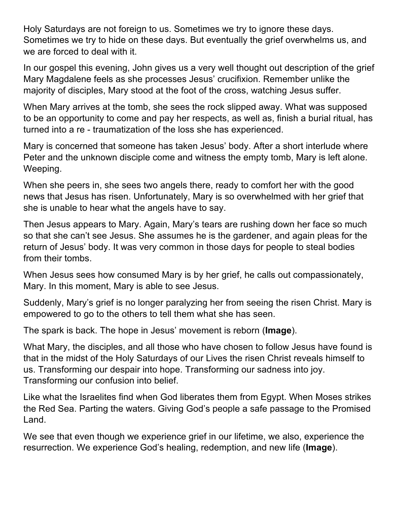Holy Saturdays are not foreign to us. Sometimes we try to ignore these days. Sometimes we try to hide on these days. But eventually the grief overwhelms us, and we are forced to deal with it.

In our gospel this evening, John gives us a very well thought out description of the grief Mary Magdalene feels as she processes Jesus' crucifixion. Remember unlike the majority of disciples, Mary stood at the foot of the cross, watching Jesus suffer.

When Mary arrives at the tomb, she sees the rock slipped away. What was supposed to be an opportunity to come and pay her respects, as well as, finish a burial ritual, has turned into a re - traumatization of the loss she has experienced.

Mary is concerned that someone has taken Jesus' body. After a short interlude where Peter and the unknown disciple come and witness the empty tomb, Mary is left alone. Weeping.

When she peers in, she sees two angels there, ready to comfort her with the good news that Jesus has risen. Unfortunately, Mary is so overwhelmed with her grief that she is unable to hear what the angels have to say.

Then Jesus appears to Mary. Again, Mary's tears are rushing down her face so much so that she can't see Jesus. She assumes he is the gardener, and again pleas for the return of Jesus' body. It was very common in those days for people to steal bodies from their tombs.

When Jesus sees how consumed Mary is by her grief, he calls out compassionately, Mary. In this moment, Mary is able to see Jesus.

Suddenly, Mary's grief is no longer paralyzing her from seeing the risen Christ. Mary is empowered to go to the others to tell them what she has seen.

The spark is back. The hope in Jesus' movement is reborn (**Image**).

What Mary, the disciples, and all those who have chosen to follow Jesus have found is that in the midst of the Holy Saturdays of our Lives the risen Christ reveals himself to us. Transforming our despair into hope. Transforming our sadness into joy. Transforming our confusion into belief.

Like what the Israelites find when God liberates them from Egypt. When Moses strikes the Red Sea. Parting the waters. Giving God's people a safe passage to the Promised Land.

We see that even though we experience grief in our lifetime, we also, experience the resurrection. We experience God's healing, redemption, and new life (**Image**).